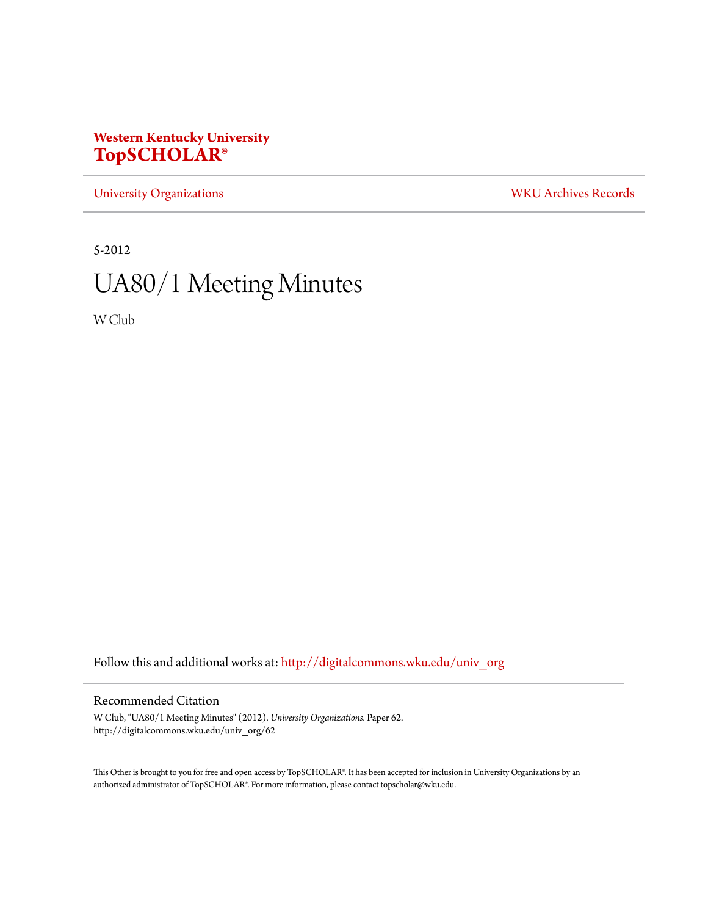# **Western Kentucky University [TopSCHOLAR®](http://digitalcommons.wku.edu?utm_source=digitalcommons.wku.edu%2Funiv_org%2F62&utm_medium=PDF&utm_campaign=PDFCoverPages)**

[University Organizations](http://digitalcommons.wku.edu/univ_org?utm_source=digitalcommons.wku.edu%2Funiv_org%2F62&utm_medium=PDF&utm_campaign=PDFCoverPages) [WKU Archives Records](http://digitalcommons.wku.edu/dlsc_ua_records?utm_source=digitalcommons.wku.edu%2Funiv_org%2F62&utm_medium=PDF&utm_campaign=PDFCoverPages)

5-2012

# UA80/1 Meeting Minutes

W Club

Follow this and additional works at: [http://digitalcommons.wku.edu/univ\\_org](http://digitalcommons.wku.edu/univ_org?utm_source=digitalcommons.wku.edu%2Funiv_org%2F62&utm_medium=PDF&utm_campaign=PDFCoverPages)

# Recommended Citation

W Club, "UA80/1 Meeting Minutes" (2012). *University Organizations.* Paper 62. http://digitalcommons.wku.edu/univ\_org/62

This Other is brought to you for free and open access by TopSCHOLAR®. It has been accepted for inclusion in University Organizations by an authorized administrator of TopSCHOLAR®. For more information, please contact topscholar@wku.edu.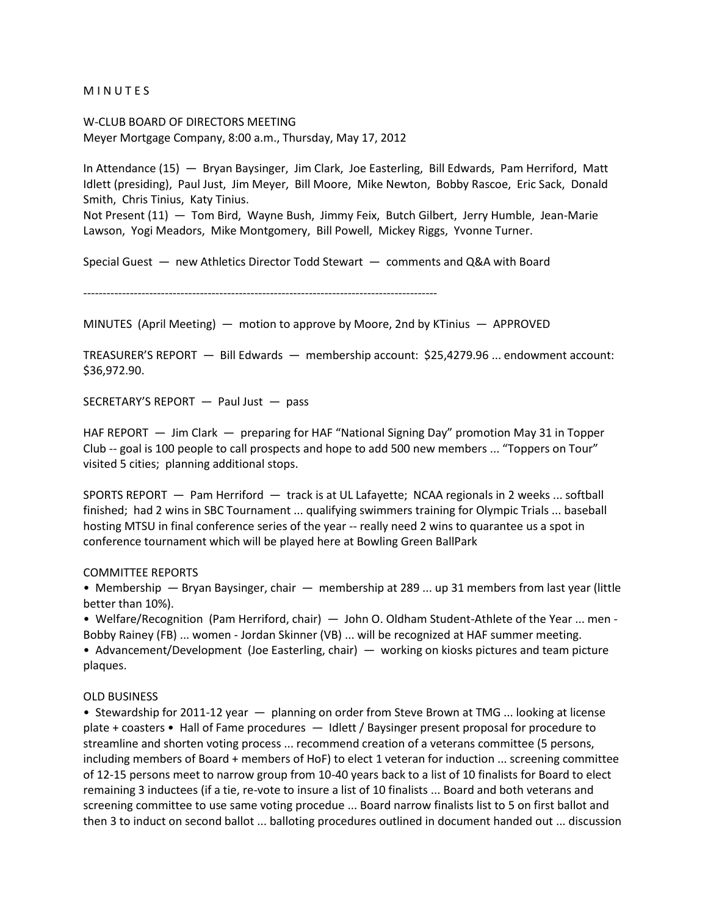**MINUTES** 

W-CLUB BOARD OF DIRECTORS MEETING Meyer Mortgage Company, 8:00 a.m., Thursday, May 17, 2012

In Attendance (15) — Bryan Baysinger, Jim Clark, Joe Easterling, Bill Edwards, Pam Herriford, Matt Idlett (presiding), Paul Just, Jim Meyer, Bill Moore, Mike Newton, Bobby Rascoe, Eric Sack, Donald Smith, Chris Tinius, Katy Tinius.

Not Present (11) — Tom Bird, Wayne Bush, Jimmy Feix, Butch Gilbert, Jerry Humble, Jean-Marie Lawson, Yogi Meadors, Mike Montgomery, Bill Powell, Mickey Riggs, Yvonne Turner.

Special Guest — new Athletics Director Todd Stewart — comments and Q&A with Board

-------------------------------------------------------------------------------------------

MINUTES (April Meeting) — motion to approve by Moore, 2nd by KTinius — APPROVED

TREASURER'S REPORT — Bill Edwards — membership account: \$25,4279.96 ... endowment account: \$36,972.90.

SECRETARY'S REPORT — Paul Just — pass

HAF REPORT — Jim Clark — preparing for HAF "National Signing Day" promotion May 31 in Topper Club -- goal is 100 people to call prospects and hope to add 500 new members ... "Toppers on Tour" visited 5 cities; planning additional stops.

SPORTS REPORT — Pam Herriford — track is at UL Lafayette; NCAA regionals in 2 weeks ... softball finished; had 2 wins in SBC Tournament ... qualifying swimmers training for Olympic Trials ... baseball hosting MTSU in final conference series of the year -- really need 2 wins to quarantee us a spot in conference tournament which will be played here at Bowling Green BallPark

#### COMMITTEE REPORTS

• Membership — Bryan Baysinger, chair — membership at 289 ... up 31 members from last year (little better than 10%).

• Welfare/Recognition (Pam Herriford, chair) — John O. Oldham Student-Athlete of the Year ... men - Bobby Rainey (FB) ... women - Jordan Skinner (VB) ... will be recognized at HAF summer meeting.

• Advancement/Development (Joe Easterling, chair) — working on kiosks pictures and team picture plaques.

#### OLD BUSINESS

• Stewardship for 2011-12 year — planning on order from Steve Brown at TMG ... looking at license plate + coasters • Hall of Fame procedures — Idlett / Baysinger present proposal for procedure to streamline and shorten voting process ... recommend creation of a veterans committee (5 persons, including members of Board + members of HoF) to elect 1 veteran for induction ... screening committee of 12-15 persons meet to narrow group from 10-40 years back to a list of 10 finalists for Board to elect remaining 3 inductees (if a tie, re-vote to insure a list of 10 finalists ... Board and both veterans and screening committee to use same voting procedue ... Board narrow finalists list to 5 on first ballot and then 3 to induct on second ballot ... balloting procedures outlined in document handed out ... discussion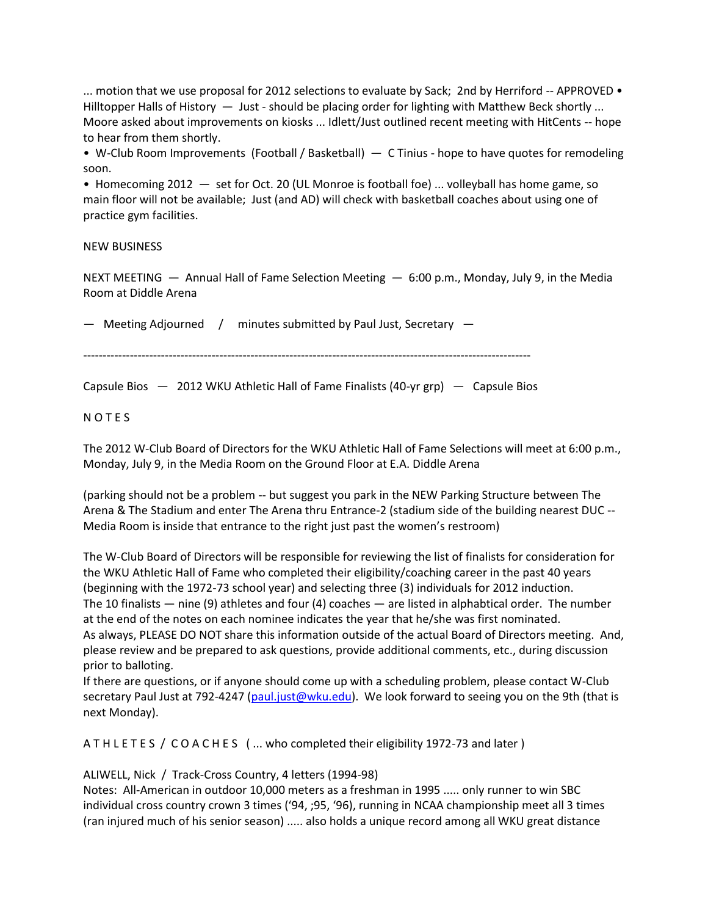... motion that we use proposal for 2012 selections to evaluate by Sack; 2nd by Herriford  $-$  APPROVED  $\bullet$ Hilltopper Halls of History — Just - should be placing order for lighting with Matthew Beck shortly ... Moore asked about improvements on kiosks ... Idlett/Just outlined recent meeting with HitCents -- hope to hear from them shortly.

• W-Club Room Improvements (Football / Basketball) — C Tinius - hope to have quotes for remodeling soon.

• Homecoming 2012 — set for Oct. 20 (UL Monroe is football foe) ... volleyball has home game, so main floor will not be available; Just (and AD) will check with basketball coaches about using one of practice gym facilities.

#### NEW BUSINESS

NEXT MEETING  $-$  Annual Hall of Fame Selection Meeting  $-$  6:00 p.m., Monday, July 9, in the Media Room at Diddle Arena

— Meeting Adjourned / minutes submitted by Paul Just, Secretary —

-------------------------------------------------------------------------------------------------------------------

Capsule Bios — 2012 WKU Athletic Hall of Fame Finalists (40-yr grp) — Capsule Bios

#### N O T E S

The 2012 W-Club Board of Directors for the WKU Athletic Hall of Fame Selections will meet at 6:00 p.m., Monday, July 9, in the Media Room on the Ground Floor at E.A. Diddle Arena

(parking should not be a problem -- but suggest you park in the NEW Parking Structure between The Arena & The Stadium and enter The Arena thru Entrance-2 (stadium side of the building nearest DUC -- Media Room is inside that entrance to the right just past the women's restroom)

The W-Club Board of Directors will be responsible for reviewing the list of finalists for consideration for the WKU Athletic Hall of Fame who completed their eligibility/coaching career in the past 40 years (beginning with the 1972-73 school year) and selecting three (3) individuals for 2012 induction. The 10 finalists — nine (9) athletes and four (4) coaches — are listed in alphabtical order. The number at the end of the notes on each nominee indicates the year that he/she was first nominated. As always, PLEASE DO NOT share this information outside of the actual Board of Directors meeting. And, please review and be prepared to ask questions, provide additional comments, etc., during discussion prior to balloting.

If there are questions, or if anyone should come up with a scheduling problem, please contact W-Club secretary Paul Just at 792-4247 [\(paul.just@wku.edu\)](mailto:paul.just@wku.edu). We look forward to seeing you on the 9th (that is next Monday).

A T H L E T E S / C O A C H E S ( ... who completed their eligibility 1972-73 and later )

# ALIWELL, Nick / Track-Cross Country, 4 letters (1994-98)

Notes: All-American in outdoor 10,000 meters as a freshman in 1995 ..... only runner to win SBC individual cross country crown 3 times ('94, ;95, '96), running in NCAA championship meet all 3 times (ran injured much of his senior season) ..... also holds a unique record among all WKU great distance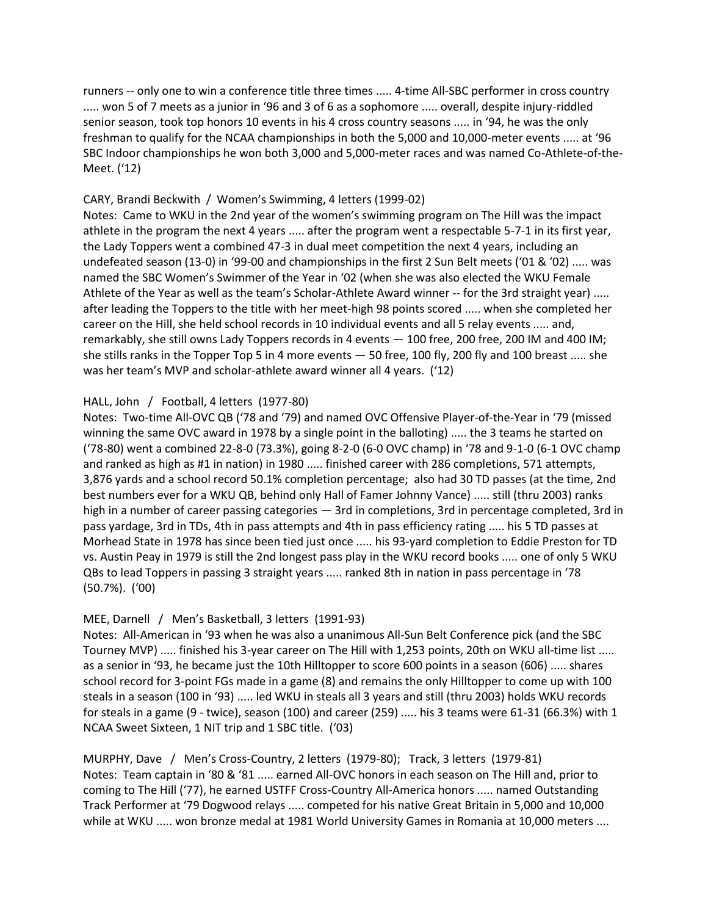runners -- only one to win a conference title three times ..... 4-time All-SBC performer in cross country ..... won 5 of 7 meets as a junior in '96 and 3 of 6 as a sophomore ..... overall, despite injury-riddled senior season, took top honors 10 events in his 4 cross country seasons ..... in '94, he was the only freshman to qualify for the NCAA championships in both the 5,000 and 10,000-meter events ..... at '96 SBC Indoor championships he won both 3,000 and 5,000-meter races and was named Co-Athlete-of-the-Meet. ('12)

#### CARY, Brandi Beckwith / Women's Swimming, 4 letters (1999-02)

Notes: Came to WKU in the 2nd year of the women's swimming program on The Hill was the impact athlete in the program the next 4 years ..... after the program went a respectable 5-7-1 in its first year, the Lady Toppers went a combined 47-3 in dual meet competition the next 4 years, including an undefeated season (13-0) in '99-00 and championships in the first 2 Sun Belt meets ('01 & '02) ..... was named the SBC Women's Swimmer of the Year in '02 (when she was also elected the WKU Female Athlete of the Year as well as the team's Scholar-Athlete Award winner -- for the 3rd straight year) ..... after leading the Toppers to the title with her meet-high 98 points scored ..... when she completed her career on the Hill, she held school records in 10 individual events and all 5 relay events ..... and, remarkably, she still owns Lady Toppers records in 4 events — 100 free, 200 free, 200 IM and 400 IM; she stills ranks in the Topper Top 5 in 4 more events — 50 free, 100 fly, 200 fly and 100 breast ..... she was her team's MVP and scholar-athlete award winner all 4 years. ('12)

# HALL, John / Football, 4 letters (1977-80)

Notes: Two-time All-OVC QB ('78 and '79) and named OVC Offensive Player-of-the-Year in '79 (missed winning the same OVC award in 1978 by a single point in the balloting) ..... the 3 teams he started on ('78-80) went a combined 22-8-0 (73.3%), going 8-2-0 (6-0 OVC champ) in '78 and 9-1-0 (6-1 OVC champ and ranked as high as #1 in nation) in 1980 ..... finished career with 286 completions, 571 attempts, 3,876 yards and a school record 50.1% completion percentage; also had 30 TD passes (at the time, 2nd best numbers ever for a WKU QB, behind only Hall of Famer Johnny Vance) ..... still (thru 2003) ranks high in a number of career passing categories — 3rd in completions, 3rd in percentage completed, 3rd in pass yardage, 3rd in TDs, 4th in pass attempts and 4th in pass efficiency rating ..... his 5 TD passes at Morhead State in 1978 has since been tied just once ..... his 93-yard completion to Eddie Preston for TD vs. Austin Peay in 1979 is still the 2nd longest pass play in the WKU record books ..... one of only 5 WKU QBs to lead Toppers in passing 3 straight years ..... ranked 8th in nation in pass percentage in '78 (50.7%). ('00)

# MEE, Darnell / Men's Basketball, 3 letters (1991-93)

Notes: All-American in '93 when he was also a unanimous All-Sun Belt Conference pick (and the SBC Tourney MVP) ..... finished his 3-year career on The Hill with 1,253 points, 20th on WKU all-time list ..... as a senior in '93, he became just the 10th Hilltopper to score 600 points in a season (606) ..... shares school record for 3-point FGs made in a game (8) and remains the only Hilltopper to come up with 100 steals in a season (100 in '93) ..... led WKU in steals all 3 years and still (thru 2003) holds WKU records for steals in a game (9 - twice), season (100) and career (259) ..... his 3 teams were 61-31 (66.3%) with 1 NCAA Sweet Sixteen, 1 NIT trip and 1 SBC title. ('03)

MURPHY, Dave / Men's Cross-Country, 2 letters (1979-80); Track, 3 letters (1979-81) Notes: Team captain in '80 & '81 ..... earned All-OVC honors in each season on The Hill and, prior to coming to The Hill ('77), he earned USTFF Cross-Country All-America honors ..... named Outstanding Track Performer at '79 Dogwood relays ..... competed for his native Great Britain in 5,000 and 10,000 while at WKU ..... won bronze medal at 1981 World University Games in Romania at 10,000 meters ....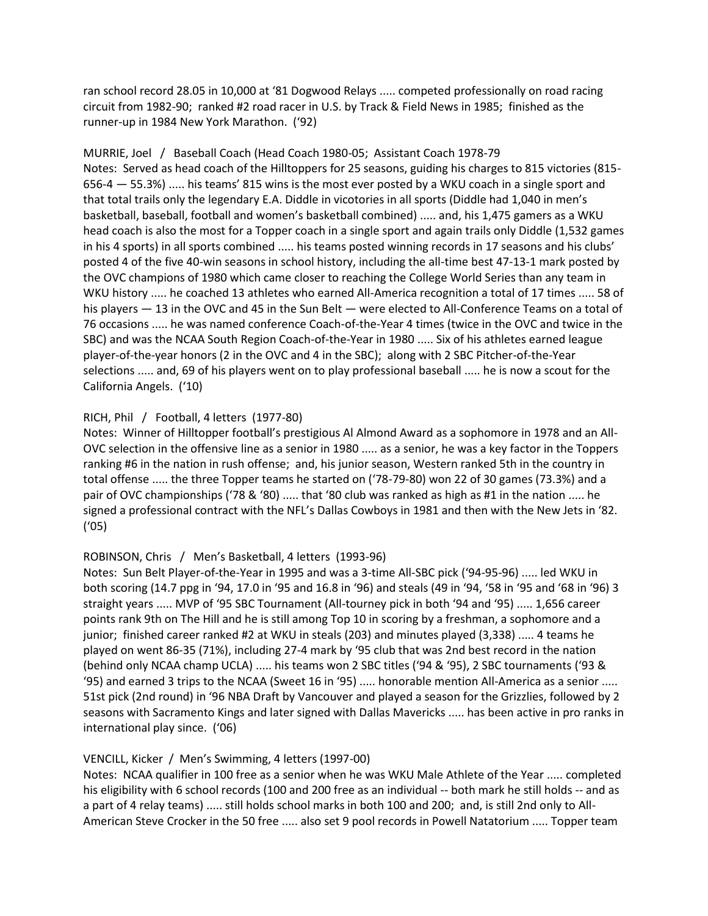ran school record 28.05 in 10,000 at '81 Dogwood Relays ..... competed professionally on road racing circuit from 1982-90; ranked #2 road racer in U.S. by Track & Field News in 1985; finished as the runner-up in 1984 New York Marathon. ('92)

MURRIE, Joel / Baseball Coach (Head Coach 1980-05; Assistant Coach 1978-79 Notes: Served as head coach of the Hilltoppers for 25 seasons, guiding his charges to 815 victories (815- 656-4 — 55.3%) ..... his teams' 815 wins is the most ever posted by a WKU coach in a single sport and that total trails only the legendary E.A. Diddle in vicotories in all sports (Diddle had 1,040 in men's basketball, baseball, football and women's basketball combined) ..... and, his 1,475 gamers as a WKU head coach is also the most for a Topper coach in a single sport and again trails only Diddle (1,532 games in his 4 sports) in all sports combined ..... his teams posted winning records in 17 seasons and his clubs' posted 4 of the five 40-win seasons in school history, including the all-time best 47-13-1 mark posted by the OVC champions of 1980 which came closer to reaching the College World Series than any team in WKU history ..... he coached 13 athletes who earned All-America recognition a total of 17 times ..... 58 of his players — 13 in the OVC and 45 in the Sun Belt — were elected to All-Conference Teams on a total of 76 occasions ..... he was named conference Coach-of-the-Year 4 times (twice in the OVC and twice in the SBC) and was the NCAA South Region Coach-of-the-Year in 1980 ..... Six of his athletes earned league player-of-the-year honors (2 in the OVC and 4 in the SBC); along with 2 SBC Pitcher-of-the-Year selections ..... and, 69 of his players went on to play professional baseball ..... he is now a scout for the California Angels. ('10)

# RICH, Phil / Football, 4 letters (1977-80)

Notes: Winner of Hilltopper football's prestigious Al Almond Award as a sophomore in 1978 and an All-OVC selection in the offensive line as a senior in 1980 ..... as a senior, he was a key factor in the Toppers ranking #6 in the nation in rush offense; and, his junior season, Western ranked 5th in the country in total offense ..... the three Topper teams he started on ('78-79-80) won 22 of 30 games (73.3%) and a pair of OVC championships ('78 & '80) ..... that '80 club was ranked as high as #1 in the nation ..... he signed a professional contract with the NFL's Dallas Cowboys in 1981 and then with the New Jets in '82. ('05)

# ROBINSON, Chris / Men's Basketball, 4 letters (1993-96)

Notes: Sun Belt Player-of-the-Year in 1995 and was a 3-time All-SBC pick ('94-95-96) ..... led WKU in both scoring (14.7 ppg in '94, 17.0 in '95 and 16.8 in '96) and steals (49 in '94, '58 in '95 and '68 in '96) 3 straight years ..... MVP of '95 SBC Tournament (All-tourney pick in both '94 and '95) ..... 1,656 career points rank 9th on The Hill and he is still among Top 10 in scoring by a freshman, a sophomore and a junior; finished career ranked #2 at WKU in steals (203) and minutes played (3,338) ..... 4 teams he played on went 86-35 (71%), including 27-4 mark by '95 club that was 2nd best record in the nation (behind only NCAA champ UCLA) ..... his teams won 2 SBC titles ('94 & '95), 2 SBC tournaments ('93 & '95) and earned 3 trips to the NCAA (Sweet 16 in '95) ..... honorable mention All-America as a senior ..... 51st pick (2nd round) in '96 NBA Draft by Vancouver and played a season for the Grizzlies, followed by 2 seasons with Sacramento Kings and later signed with Dallas Mavericks ..... has been active in pro ranks in international play since. ('06)

# VENCILL, Kicker / Men's Swimming, 4 letters (1997-00)

Notes: NCAA qualifier in 100 free as a senior when he was WKU Male Athlete of the Year ..... completed his eligibility with 6 school records (100 and 200 free as an individual -- both mark he still holds -- and as a part of 4 relay teams) ..... still holds school marks in both 100 and 200; and, is still 2nd only to All-American Steve Crocker in the 50 free ..... also set 9 pool records in Powell Natatorium ..... Topper team